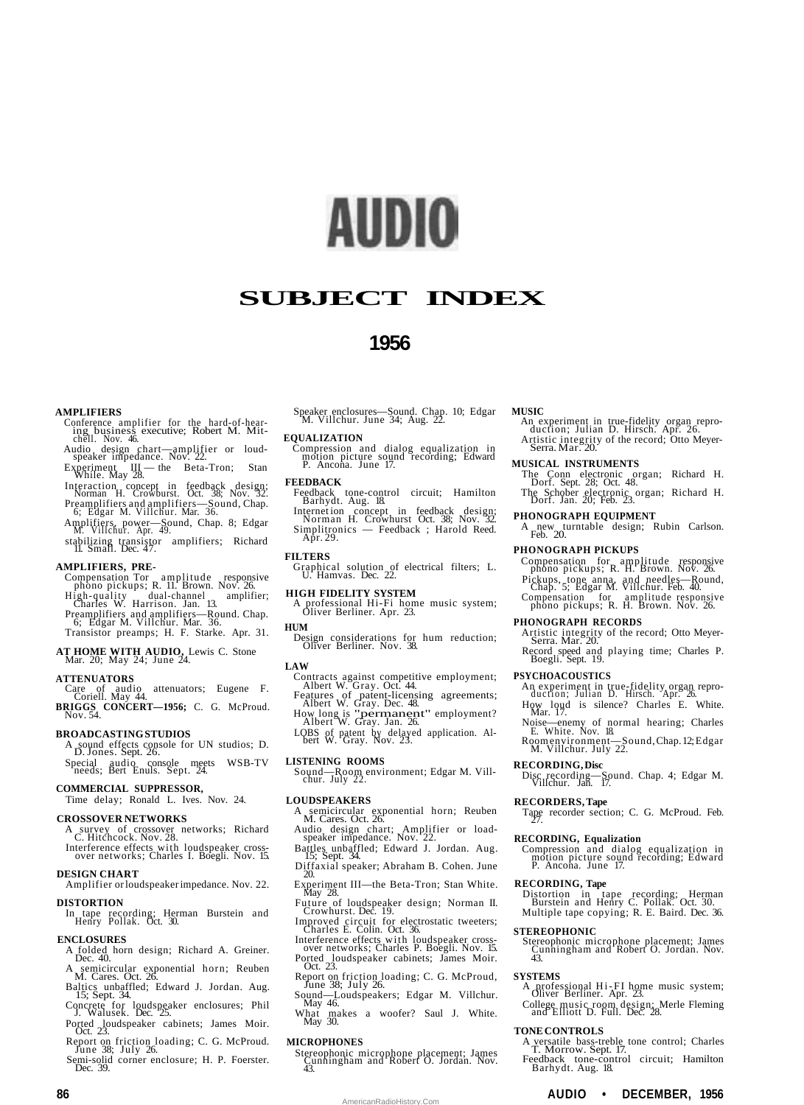# AUDIO

# **SUBJECT INDEX**

## **1956**

#### **AMPLIFIERS**

- Conference amplifier for the hard-of-hear-ing business executive; Robert M. Mit-chell. Nov. 46.
- Audio design chart—amplifier or loud-speaker impedance. Nov. 22.
- Experiment III the Beta-Tron; Stan While. May 28.
- Interaction concept in feedback design; Norman H. Crowburst. Oct. 38; Nov. 32.
- Preamplifiers and amplifiers—Sound, Chap. 6; Edgar M. Villchur. Mar. 36. Amplifiers, power—Sound, Chap. 8; Edgar M. Villchur. Apr. 49.
- stabilizing transistor amplifiers; Richard 11. Small. Dec. 47.

#### **AMPLIFIERS, PRE-**

Compensation Tor amplitude responsive phono pickups; R. 11. Brown. Nov. 26. High-quality dual-channel amplifier; Charles W. Harrison. Jan. 13. Preamplifiers and amplifiers—Round. Chap. 6; Edgar M. Villchur. Mar. 36. Transistor preamps; H. F. Starke. Apr. 31.

**AT HOME WITH AUDIO,** Lewis C. Stone Mar. 20; May 24; June 24.

- **ATTENUATORS**<br>
Care of audio attenuators; Eugene F.<br> **BRIGGS CONCERT—1956;** C. G. McProud.<br>
Nov. 54.
- 

#### **BROADCASTING STUDIOS**

A sound effects console for UN studios; D. D. Jones. Sept. 26. Special audio console meets WSB-TV needs; Bert Enuls. Sept. 24.

#### **COMMERCIAL SUPPRESSOR,**

Time delay; Ronald L. Ives. Nov. 24.

#### **CROSSOVER NETWORKS**

- A survey of crossover networks; Richard C. Hitchcock. Nov. 28.
- Interference effects with loudspeaker cross-over networks; Charles I. Boegli. Nov. 15.
- **DESIGN CHART** Amplifier or loudspeaker impedance. Nov. 22.

#### **DISTORTION**

In tape recording; Herman Burstein and Henry Pollak. Oct. 30.

#### **ENCLOSURES**

- A folded horn design; Richard A. Greiner. Dec. 40.
- A semicircular exponential horn; Reuben M. Cares. Oct. 26. Baltics unbaffled; Edward J. Jordan. Aug. 15; Sept. 34.
- Concrete for loudspeaker enclosures; Phil J. Walusek. Dec. 25.
- Ported loudspeaker cabinets; James Moir. Oct. 23.
- Report on friction loading; C. G. McProud. June 38; July 26.
- Semi-solid corner enclosure; H. P. Foerster. Dec. 39.

Speaker enclosures—Sound. Chap. 10; Edgar M. Villchur. June 34; Aug. 22.

#### **EQUALIZATION**

Compression and dialog equalization in motion picture sound recording; Edward P. Ancona. June 17.

#### **FEEDBACK**

Feedback tone-control circuit; Hamilton Barhydt. Aug. 18.

Internet ion concept in feedback design; Norman H. Crowhurst Oct. 38; Nov. 32. Simplitronics — Feedback ; Harold Reed. Apr. 29.

#### **FILTERS**

Graphical solution of electrical filters; L. U. Hamvas. Dec. 22.

#### **HIGH FIDELITY SYSTEM**

A professional Hi-Fi home music system; Oliver Berliner. Apr. 23.

#### **HUM**

Design considerations for hum reduction; Oliver Berliner. Nov. 38.

### **LAW**

- Contracts against competitive employment; Albert W. Gray. Oct. 44.
- 
- Features of patent-licensing agreements; Albert W. Gray. Dec. 48. How long is "permanent" employment? Albert W. Gray. Jan. 26.

LOBS of patent by delayed application. Al-bert W. Gray. Nov. 23.

#### **LISTENING ROOMS**

Sound—Room environment; Edgar M. Vill-chur. July 22.

#### **LOUDSPEAKERS**

- A semicircular exponential horn; Reuben M. Cares. Oct. 26. Audio design chart; Amplifier or load-speaker impedance. Nov. 22.
- 
- Battles unbaffled; Edward J. Jordan. Aug. 15; Sept. 34. Diffaxial speaker; Abraham B. Cohen. June
- 20.
- Experiment III—the Beta-Tron; Stan White. May 28. Future of loudspeaker design; Norman II. Crowhurst. Dec. 19.
- 
- Improved circuit for electrostatic tweeters; Charles E. Colin. Oct. 36. Interference effects with loudspeaker cross-over networks; Charles P. Boegli. Nov. 15.
- Ported loudspeaker cabinets; James Moir. Oct. 23.
- Report on friction loading; C. G. McProud, June 38; July 26.
- Sound—Loudspeakers; Edgar M. Villchur. May 46.
- What makes a woofer? Saul J. White. May 30.

#### **MICROPHONES**

Stereophonic microphone placement; James Cunningham and Robert O. Jordan. Nov. 43.

AmericanRadioHistory.Com

#### **MUSIC**

An experiment in true-fidelity organ repro-duction; Julian D. Hirsch. Apr. 26. Artistic integrity of the record; Otto Meyer-Serra. Mar. 20.

#### **MUSICAL INSTRUMENTS**

The Conn electronic organ; Richard H. Dorf. Sept. 28; Oct. 48. The Schober electronic organ; Richard H. Dorf. Jan. 20; Feb. 23.

#### **PHONOGRAPH EQUIPMENT**

A new turntable design; Rubin Carlson. Feb. 20.

#### **PHONOGRAPH PICKUPS**

- Compensation for amplitude responsive phono pickups; R. H. Brown. Nov. 26. Pickups, tone anna, and needles—Round, Chap. 5; Edgar M. Villchur. Feb. 40.
- Compensation for amplitude responsive phono pickups; R. H. Brown. Nov. 26.

#### **PHONOGRAPH RECORDS**

- Artistic integrity of the record; Otto Meyer-Serra. Mar. 20.
- Record speed and playing time; Charles P. Boegli. Sept. 19.

#### **PSYCHOACOUSTICS**

- An experiment in true-fidelity organ repro-duction; Julian D. Hirsch. Apr. 26.
- How loud is silence? Charles E. White. Mar. 17.
- Noise—enemy of normal hearing; Charles E. White. Nov. 18.
- Room environment—Sound, Chap. 12; Edgar M. Villchur. July 22. **RECORDING, Disc**

Disc recording—Sound. Chap. 4; Edgar M. Villchur. Jan. 17.

## **RECORDERS, Tape**

Tape recorder section; C. G. McProud. Feb. 27.

#### **RECORDING, Equalization**

Compression and dialog equalization in motion picture sound recording; Edward P. Ancona. June 17.

## **RECORDING, Tape**

Distortion in tape recording; Herman Burstein and Henry C. Pollak. Oct. 30. Multiple tape copying; R. E. Baird. Dec. 36.

#### **STEREOPHONIC**

Stereophonic microphone placement; James Cunningham and Robert O. Jordan. Nov. 43.

#### **SYSTEMS**

A professional Hi-FI home music system; Oliver Berliner. Apr. 23. College music room design; Merle Fleming and Elliott D. Full. Dec. 28.

#### **TONE CONTROLS**

A versatile bass-treble tone control; Charles T. Morrow. Sept. 17. Feedback tone-control circuit; Hamilton Barhydt. Aug. 18.